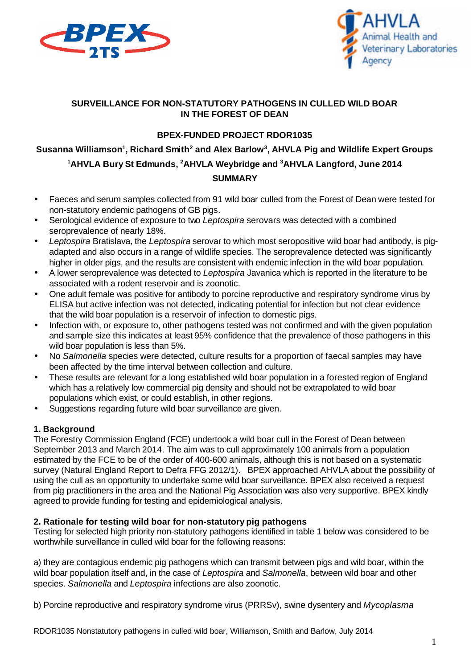



#### **SURVEILLANCE FOR NON-STATUTORY PATHOGENS IN CULLED WILD BOAR IN THE FOREST OF DEAN**

## **BPEX-FUNDED PROJECT RDOR1035**

# **Susanna Williamson<sup>1</sup> , Richard Smith<sup>2</sup> and Alex Barlow<sup>3</sup> , AHVLA Pig and Wildlife Expert Groups <sup>1</sup>AHVLA Bury St Edmunds, <sup>2</sup>AHVLA Weybridge and <sup>3</sup>AHVLA Langford, June 2014 SUMMARY**

- Faeces and serum samples collected from 91 wild boar culled from the Forest of Dean were tested for non-statutory endemic pathogens of GB pigs.
- Serological evidence of exposure to two *Leptospira* serovars was detected with a combined seroprevalence of nearly 18%.
- *Leptospira* Bratislava, the *Leptospira* serovar to which most seropositive wild boar had antibody, is pigadapted and also occurs in a range of wildlife species. The seroprevalence detected was significantly higher in older pigs, and the results are consistent with endemic infection in the wild boar population.
- A lower seroprevalence was detected to *Leptospira* Javanica which is reported in the literature to be associated with a rodent reservoir and is zoonotic.
- One adult female was positive for antibody to porcine reproductive and respiratory syndrome virus by ELISA but active infection was not detected, indicating potential for infection but not clear evidence that the wild boar population is a reservoir of infection to domestic pigs.
- Infection with, or exposure to, other pathogens tested was not confirmed and with the given population and sample size this indicates at least 95% confidence that the prevalence of those pathogens in this wild boar population is less than 5%.
- No *Salmonella* species were detected, culture results for a proportion of faecal samples may have been affected by the time interval between collection and culture.
- These results are relevant for a long established wild boar population in a forested region of England which has a relatively low commercial pig density and should not be extrapolated to wild boar populations which exist, or could establish, in other regions.
- Suggestions regarding future wild boar surveillance are given.

## **1. Background**

The Forestry Commission England (FCE) undertook a wild boar cull in the Forest of Dean between September 2013 and March 2014. The aim was to cull approximately 100 animals from a population estimated by the FCE to be of the order of 400-600 animals, although this is not based on a systematic survey (Natural England Report to Defra FFG 2012/1). BPEX approached AHVLA about the possibility of using the cull as an opportunity to undertake some wild boar surveillance. BPEX also received a request from pig practitioners in the area and the National Pig Association was also very supportive. BPEX kindly agreed to provide funding for testing and epidemiological analysis.

#### **2. Rationale for testing wild boar for non-statutory pig pathogens**

Testing for selected high priority non-statutory pathogens identified in table 1 below was considered to be worthwhile surveillance in culled wild boar for the following reasons:

a) they are contagious endemic pig pathogens which can transmit between pigs and wild boar, within the wild boar population itself and, in the case of *Leptospira* and *Salmonella*, between wild boar and other species. *Salmonella* and *Leptospira* infections are also zoonotic.

b) Porcine reproductive and respiratory syndrome virus (PRRSv), swine dysentery and *Mycoplasma*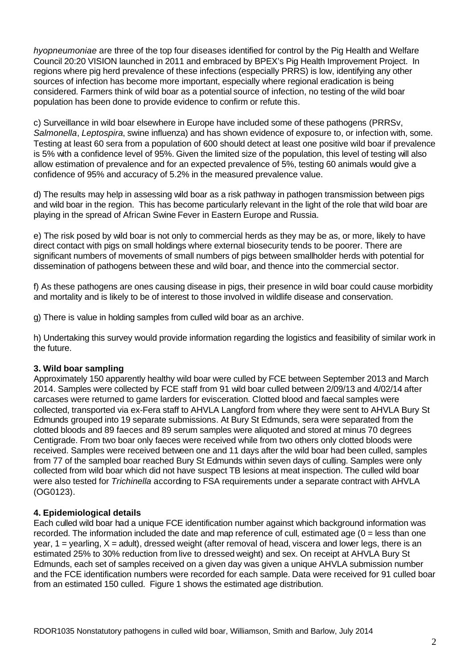*hyopneumoniae* are three of the top four diseases identified for control by the Pig Health and Welfare Council 20:20 VISION launched in 2011 and embraced by BPEX's Pig Health Improvement Project. In regions where pig herd prevalence of these infections (especially PRRS) is low, identifying any other sources of infection has become more important, especially where regional eradication is being considered. Farmers think of wild boar as a potential source of infection, no testing of the wild boar population has been done to provide evidence to confirm or refute this.

c) Surveillance in wild boar elsewhere in Europe have included some of these pathogens (PRRSv, *Salmonella*, *Leptospira*, swine influenza) and has shown evidence of exposure to, or infection with, some. Testing at least 60 sera from a population of 600 should detect at least one positive wild boar if prevalence is 5% with a confidence level of 95%. Given the limited size of the population, this level of testing will also allow estimation of prevalence and for an expected prevalence of 5%, testing 60 animals would give a confidence of 95% and accuracy of 5.2% in the measured prevalence value.

d) The results may help in assessing wild boar as a risk pathway in pathogen transmission between pigs and wild boar in the region. This has become particularly relevant in the light of the role that wild boar are playing in the spread of African Swine Fever in Eastern Europe and Russia.

e) The risk posed by wild boar is not only to commercial herds as they may be as, or more, likely to have direct contact with pigs on small holdings where external biosecurity tends to be poorer. There are significant numbers of movements of small numbers of pigs between smallholder herds with potential for dissemination of pathogens between these and wild boar, and thence into the commercial sector.

f) As these pathogens are ones causing disease in pigs, their presence in wild boar could cause morbidity and mortality and is likely to be of interest to those involved in wildlife disease and conservation.

g) There is value in holding samples from culled wild boar as an archive.

h) Undertaking this survey would provide information regarding the logistics and feasibility of similar work in the future.

## **3. Wild boar sampling**

Approximately 150 apparently healthy wild boar were culled by FCE between September 2013 and March 2014. Samples were collected by FCE staff from 91 wild boar culled between 2/09/13 and 4/02/14 after carcases were returned to game larders for evisceration. Clotted blood and faecal samples were collected, transported via ex-Fera staff to AHVLA Langford from where they were sent to AHVLA Bury St Edmunds grouped into 19 separate submissions. At Bury St Edmunds, sera were separated from the clotted bloods and 89 faeces and 89 serum samples were aliquoted and stored at minus 70 degrees Centigrade. From two boar only faeces were received while from two others only clotted bloods were received. Samples were received between one and 11 days after the wild boar had been culled, samples from 77 of the sampled boar reached Bury St Edmunds within seven days of culling. Samples were only collected from wild boar which did not have suspect TB lesions at meat inspection. The culled wild boar were also tested for *Trichinella* according to FSA requirements under a separate contract with AHVLA (OG0123).

## **4. Epidemiological details**

Each culled wild boar had a unique FCE identification number against which background information was recorded. The information included the date and map reference of cull, estimated age (0 = less than one year,  $1$  = yearling,  $X$  = adult), dressed weight (after removal of head, viscera and lower legs, there is an estimated 25% to 30% reduction from live to dressed weight) and sex. On receipt at AHVLA Bury St Edmunds, each set of samples received on a given day was given a unique AHVLA submission number and the FCE identification numbers were recorded for each sample. Data were received for 91 culled boar from an estimated 150 culled. Figure 1 shows the estimated age distribution.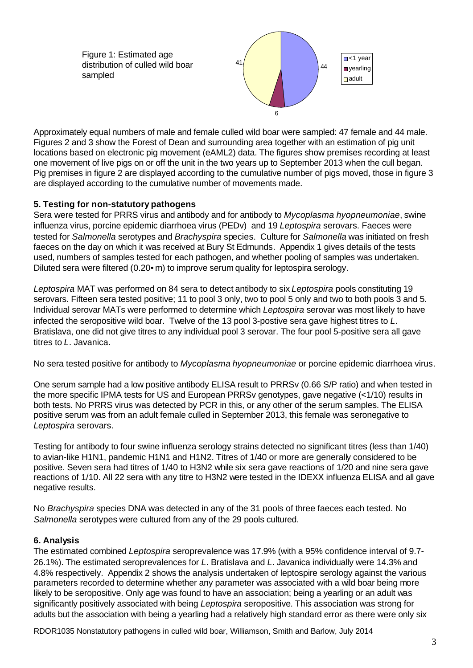Figure 1: Estimated age distribution of culled wild boar sampled



Approximately equal numbers of male and female culled wild boar were sampled: 47 female and 44 male. Figures 2 and 3 show the Forest of Dean and surrounding area together with an estimation of pig unit locations based on electronic pig movement (eAML2) data. The figures show premises recording at least one movement of live pigs on or off the unit in the two years up to September 2013 when the cull began. Pig premises in figure 2 are displayed according to the cumulative number of pigs moved, those in figure 3 are displayed according to the cumulative number of movements made.

## **5. Testing for non-statutory pathogens**

Sera were tested for PRRS virus and antibody and for antibody to *Mycoplasma hyopneumoniae*, swine influenza virus, porcine epidemic diarrhoea virus (PEDv) and 19 *Leptospira* serovars. Faeces were tested for *Salmonella* serotypes and *Brachyspira* species. Culture for *Salmonella* was initiated on fresh faeces on the day on which it was received at Bury St Edmunds. Appendix 1 gives details of the tests used, numbers of samples tested for each pathogen, and whether pooling of samples was undertaken. Diluted sera were filtered (0.20 $\bullet$  m) to improve serum quality for leptospira serology.

*Leptospira* MAT was performed on 84 sera to detect antibody to six *Leptospira* pools constituting 19 serovars. Fifteen sera tested positive; 11 to pool 3 only, two to pool 5 only and two to both pools 3 and 5. Individual serovar MATs were performed to determine which *Leptospira* serovar was most likely to have infected the seropositive wild boar. Twelve of the 13 pool 3-postive sera gave highest titres to *L*. Bratislava, one did not give titres to any individual pool 3 serovar. The four pool 5-positive sera all gave titres to *L*. Javanica.

No sera tested positive for antibody to *Mycoplasma hyopneumoniae* or porcine epidemic diarrhoea virus.

One serum sample had a low positive antibody ELISA result to PRRSv (0.66 S/P ratio) and when tested in the more specific IPMA tests for US and European PRRSv genotypes, gave negative (<1/10) results in both tests. No PRRS virus was detected by PCR in this, or any other of the serum samples. The ELISA positive serum was from an adult female culled in September 2013, this female was seronegative to *Leptospira* serovars.

Testing for antibody to four swine influenza serology strains detected no significant titres (less than 1/40) to avian-like H1N1, pandemic H1N1 and H1N2. Titres of 1/40 or more are generally considered to be positive. Seven sera had titres of 1/40 to H3N2 while six sera gave reactions of 1/20 and nine sera gave reactions of 1/10. All 22 sera with any titre to H3N2 were tested in the IDEXX influenza ELISA and all gave negative results.

No *Brachyspira* species DNA was detected in any of the 31 pools of three faeces each tested. No *Salmonella* serotypes were cultured from any of the 29 pools cultured.

## **6. Analysis**

The estimated combined *Leptospira* seroprevalence was 17.9% (with a 95% confidence interval of 9.7- 26.1%). The estimated seroprevalences for *L*. Bratislava and *L*. Javanica individually were 14.3% and 4.8% respectively. Appendix 2 shows the analysis undertaken of leptospire serology against the various parameters recorded to determine whether any parameter was associated with a wild boar being more likely to be seropositive. Only age was found to have an association; being a yearling or an adult was significantly positively associated with being *Leptospira* seropositive. This association was strong for adults but the association with being a yearling had a relatively high standard error as there were only six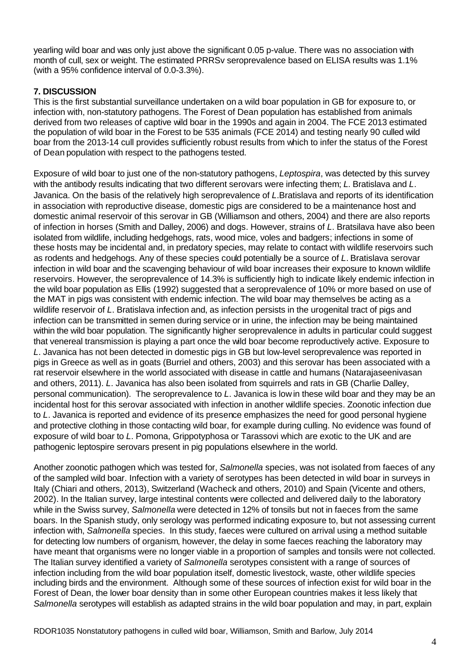yearling wild boar and was only just above the significant 0.05 p-value. There was no association with month of cull, sex or weight. The estimated PRRSv seroprevalence based on ELISA results was 1.1% (with a 95% confidence interval of 0.0-3.3%).

## **7. DISCUSSION**

This is the first substantial surveillance undertaken on a wild boar population in GB for exposure to, or infection with, non-statutory pathogens. The Forest of Dean population has established from animals derived from two releases of captive wild boar in the 1990s and again in 2004. The FCE 2013 estimated the population of wild boar in the Forest to be 535 animals (FCE 2014) and testing nearly 90 culled wild boar from the 2013-14 cull provides sufficiently robust results from which to infer the status of the Forest of Dean population with respect to the pathogens tested.

Exposure of wild boar to just one of the non-statutory pathogens, *Leptospira*, was detected by this survey with the antibody results indicating that two different serovars were infecting them; *L*. Bratislava and *L*. Javanica. On the basis of the relatively high seroprevalence of *L*.Bratislava and reports of its identification in association with reproductive disease, domestic pigs are considered to be a maintenance host and domestic animal reservoir of this serovar in GB (Williamson and others, 2004) and there are also reports of infection in horses (Smith and Dalley, 2006) and dogs. However, strains of *L*. Bratsilava have also been isolated from wildlife, including hedgehogs, rats, wood mice, voles and badgers; infections in some of these hosts may be incidental and, in predatory species, may relate to contact with wildlife reservoirs such as rodents and hedgehogs. Any of these species could potentially be a source of *L*. Bratislava serovar infection in wild boar and the scavenging behaviour of wild boar increases their exposure to known wildlife reservoirs. However, the seroprevalence of 14.3% is sufficiently high to indicate likely endemic infection in the wild boar population as Ellis (1992) suggested that a seroprevalence of 10% or more based on use of the MAT in pigs was consistent with endemic infection. The wild boar may themselves be acting as a wildlife reservoir of *L*. Bratislava infection and, as infection persists in the urogenital tract of pigs and infection can be transmitted in semen during service or in urine, the infection may be being maintained within the wild boar population. The significantly higher seroprevalence in adults in particular could suggest that venereal transmission is playing a part once the wild boar become reproductively active. Exposure to *L*. Javanica has not been detected in domestic pigs in GB but low-level seroprevalence was reported in pigs in Greece as well as in goats (Burriel and others, 2003) and this serovar has been associated with a rat reservoir elsewhere in the world associated with disease in cattle and humans (Natarajaseenivasan and others, 2011). *L*. Javanica has also been isolated from squirrels and rats in GB (Charlie Dalley, personal communication). The seroprevalence to *L*. Javanica is low in these wild boar and they may be an incidental host for this serovar associated with infection in another wildlife species. Zoonotic infection due to *L*. Javanica is reported and evidence of its presence emphasizes the need for good personal hygiene and protective clothing in those contacting wild boar, for example during culling. No evidence was found of exposure of wild boar to *L*. Pomona, Grippotyphosa or Tarassovi which are exotic to the UK and are pathogenic leptospire serovars present in pig populations elsewhere in the world.

Another zoonotic pathogen which was tested for, *Salmonella* species, was not isolated from faeces of any of the sampled wild boar. Infection with a variety of serotypes has been detected in wild boar in surveys in Italy (Chiari and others, 2013), Switzerland (Wacheck and others, 2010) and Spain (Vicente and others, 2002). In the Italian survey, large intestinal contents were collected and delivered daily to the laboratory while in the Swiss survey, *Salmonella* were detected in 12% of tonsils but not in faeces from the same boars. In the Spanish study, only serology was performed indicating exposure to, but not assessing current infection with, *Salmonella* species. In this study, faeces were cultured on arrival using a method suitable for detecting low numbers of organism, however, the delay in some faeces reaching the laboratory may have meant that organisms were no longer viable in a proportion of samples and tonsils were not collected. The Italian survey identified a variety of *Salmonella* serotypes consistent with a range of sources of infection including from the wild boar population itself, domestic livestock, waste, other wildlife species including birds and the environment. Although some of these sources of infection exist for wild boar in the Forest of Dean, the lower boar density than in some other European countries makes it less likely that *Salmonella* serotypes will establish as adapted strains in the wild boar population and may, in part, explain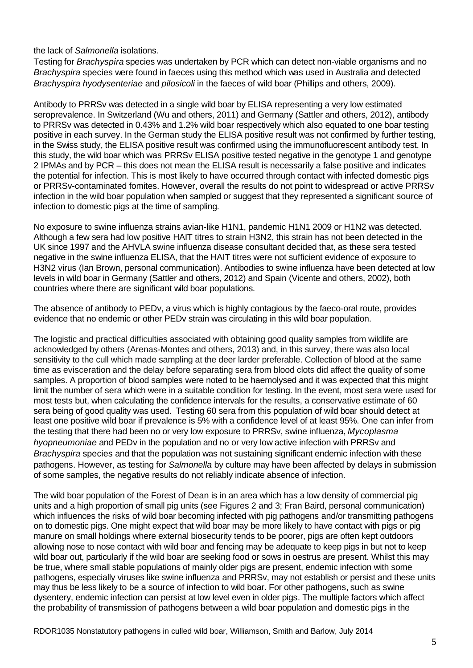the lack of *Salmonella* isolations.

Testing for *Brachyspira* species was undertaken by PCR which can detect non-viable organisms and no *Brachyspira* species were found in faeces using this method which was used in Australia and detected *Brachyspira hyodysenteriae* and *pilosicoli* in the faeces of wild boar (Phillips and others, 2009).

Antibody to PRRSv was detected in a single wild boar by ELISA representing a very low estimated seroprevalence. In Switzerland (Wu and others, 2011) and Germany (Sattler and others, 2012), antibody to PRRSv was detected in 0.43% and 1.2% wild boar respectively which also equated to one boar testing positive in each survey. In the German study the ELISA positive result was not confirmed by further testing, in the Swiss study, the ELISA positive result was confirmed using the immunofluorescent antibody test. In this study, the wild boar which was PRRSv ELISA positive tested negative in the genotype 1 and genotype 2 IPMAs and by PCR – this does not mean the ELISA result is necessarily a false positive and indicates the potential for infection. This is most likely to have occurred through contact with infected domestic pigs or PRRSv-contaminated fomites. However, overall the results do not point to widespread or active PRRSv infection in the wild boar population when sampled or suggest that they represented a significant source of infection to domestic pigs at the time of sampling.

No exposure to swine influenza strains avian-like H1N1, pandemic H1N1 2009 or H1N2 was detected. Although a few sera had low positive HAIT titres to strain H3N2, this strain has not been detected in the UK since 1997 and the AHVLA swine influenza disease consultant decided that, as these sera tested negative in the swine influenza ELISA, that the HAIT titres were not sufficient evidence of exposure to H3N2 virus (Ian Brown, personal communication). Antibodies to swine influenza have been detected at low levels in wild boar in Germany (Sattler and others, 2012) and Spain (Vicente and others, 2002), both countries where there are significant wild boar populations.

The absence of antibody to PEDv, a virus which is highly contagious by the faeco-oral route, provides evidence that no endemic or other PEDv strain was circulating in this wild boar population.

The logistic and practical difficulties associated with obtaining good quality samples from wildlife are acknowledged by others (Arenas-Montes and others, 2013) and, in this survey, there was also local sensitivity to the cull which made sampling at the deer larder preferable. Collection of blood at the same time as evisceration and the delay before separating sera from blood clots did affect the quality of some samples. A proportion of blood samples were noted to be haemolysed and it was expected that this might limit the number of sera which were in a suitable condition for testing. In the event, most sera were used for most tests but, when calculating the confidence intervals for the results, a conservative estimate of 60 sera being of good quality was used. Testing 60 sera from this population of wild boar should detect at least one positive wild boar if prevalence is 5% with a confidence level of at least 95%. One can infer from the testing that there had been no or very low exposure to PRRSv, swine influenza, *Mycoplasma hyopneumoniae* and PEDv in the population and no or very low active infection with PRRSv and *Brachyspira* species and that the population was not sustaining significant endemic infection with these pathogens. However, as testing for *Salmonella* by culture may have been affected by delays in submission of some samples, the negative results do not reliably indicate absence of infection.

The wild boar population of the Forest of Dean is in an area which has a low density of commercial pig units and a high proportion of small pig units (see Figures 2 and 3; Fran Baird, personal communication) which influences the risks of wild boar becoming infected with pig pathogens and/or transmitting pathogens on to domestic pigs. One might expect that wild boar may be more likely to have contact with pigs or pig manure on small holdings where external biosecurity tends to be poorer, pigs are often kept outdoors allowing nose to nose contact with wild boar and fencing may be adequate to keep pigs in but not to keep wild boar out, particularly if the wild boar are seeking food or sows in oestrus are present. Whilst this may be true, where small stable populations of mainly older pigs are present, endemic infection with some pathogens, especially viruses like swine influenza and PRRSv, may not establish or persist and these units may thus be less likely to be a source of infection to wild boar. For other pathogens, such as swine dysentery, endemic infection can persist at low level even in older pigs. The multiple factors which affect the probability of transmission of pathogens between a wild boar population and domestic pigs in the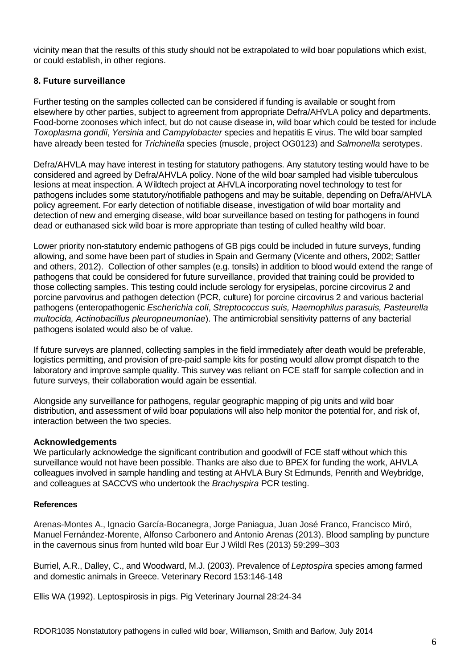vicinity mean that the results of this study should not be extrapolated to wild boar populations which exist, or could establish, in other regions.

#### **8. Future surveillance**

Further testing on the samples collected can be considered if funding is available or sought from elsewhere by other parties, subject to agreement from appropriate Defra/AHVLA policy and departments. Food-borne zoonoses which infect, but do not cause disease in, wild boar which could be tested for include *Toxoplasma gondii*, *Yersinia* and *Campylobacter* species and hepatitis E virus. The wild boar sampled have already been tested for *Trichinella* species (muscle, project OG0123) and *Salmonella* serotypes.

Defra/AHVLA may have interest in testing for statutory pathogens. Any statutory testing would have to be considered and agreed by Defra/AHVLA policy. None of the wild boar sampled had visible tuberculous lesions at meat inspection. A Wildtech project at AHVLA incorporating novel technology to test for pathogens includes some statutory/notifiable pathogens and may be suitable, depending on Defra/AHVLA policy agreement. For early detection of notifiable disease, investigation of wild boar mortality and detection of new and emerging disease, wild boar surveillance based on testing for pathogens in found dead or euthanased sick wild boar is more appropriate than testing of culled healthy wild boar.

Lower priority non-statutory endemic pathogens of GB pigs could be included in future surveys, funding allowing, and some have been part of studies in Spain and Germany (Vicente and others, 2002; Sattler and others, 2012). Collection of other samples (e.g. tonsils) in addition to blood would extend the range of pathogens that could be considered for future surveillance, provided that training could be provided to those collecting samples. This testing could include serology for erysipelas, porcine circovirus 2 and porcine parvovirus and pathogen detection (PCR, culture) for porcine circovirus 2 and various bacterial pathogens (enteropathogenic *Escherichia coli*, *Streptococcus suis, Haemophilus parasuis, Pasteurella multocida, Actinobacillus pleuropneumoniae*). The antimicrobial sensitivity patterns of any bacterial pathogens isolated would also be of value.

If future surveys are planned, collecting samples in the field immediately after death would be preferable, logistics permitting, and provision of pre-paid sample kits for posting would allow prompt dispatch to the laboratory and improve sample quality. This survey was reliant on FCE staff for sample collection and in future surveys, their collaboration would again be essential.

Alongside any surveillance for pathogens, regular geographic mapping of pig units and wild boar distribution, and assessment of wild boar populations will also help monitor the potential for, and risk of, interaction between the two species.

#### **Acknowledgements**

We particularly acknowledge the significant contribution and goodwill of FCE staff without which this surveillance would not have been possible. Thanks are also due to BPEX for funding the work, AHVLA colleagues involved in sample handling and testing at AHVLA Bury St Edmunds, Penrith and Weybridge, and colleagues at SACCVS who undertook the *Brachyspira* PCR testing.

#### **References**

Arenas-Montes A., Ignacio García-Bocanegra, Jorge Paniagua, Juan José Franco, Francisco Miró, Manuel Fernández-Morente, Alfonso Carbonero and Antonio Arenas (2013). Blood sampling by puncture in the cavernous sinus from hunted wild boar Eur J Wildl Res (2013) 59:299–303

Burriel, A.R., Dalley, C., and Woodward, M.J. (2003). Prevalence of *Leptospira* species among farmed and domestic animals in Greece. Veterinary Record 153:146-148

Ellis WA (1992). Leptospirosis in pigs. Pig Veterinary Journal 28:24-34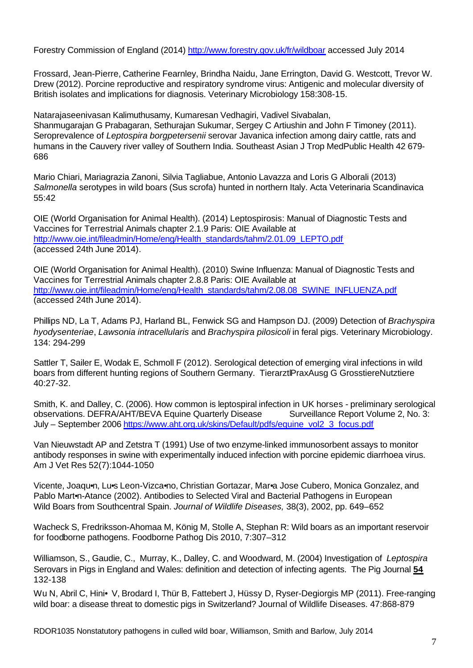Forestry Commission of England (2014) http://www.forestry.gov.uk/fr/wildboar accessed July 2014

Frossard, Jean-Pierre, Catherine Fearnley, Brindha Naidu, Jane Errington, David G. Westcott, Trevor W. Drew (2012). Porcine reproductive and respiratory syndrome virus: Antigenic and molecular diversity of British isolates and implications for diagnosis. Veterinary Microbiology 158:308-15.

Natarajaseenivasan Kalimuthusamy, Kumaresan Vedhagiri, Vadivel Sivabalan, Shanmugarajan G Prabagaran, Sethurajan Sukumar, Sergey C Artiushin and John F Timoney (2011). Seroprevalence of *Leptospira borgpetersenii* serovar Javanica infection among dairy cattle, rats and humans in the Cauvery river valley of Southern India. Southeast Asian J Trop MedPublic Health 42 679- 686

Mario Chiari, Mariagrazia Zanoni, Silvia Tagliabue, Antonio Lavazza and Loris G Alborali (2013) *Salmonella* serotypes in wild boars (Sus scrofa) hunted in northern Italy. Acta Veterinaria Scandinavica 55:42

OIE (World Organisation for Animal Health). (2014) Leptospirosis: Manual of Diagnostic Tests and Vaccines for Terrestrial Animals chapter 2.1.9 Paris: OIE Available at http://www.oie.int/fileadmin/Home/eng/Health\_standards/tahm/2.01.09\_LEPTO.pdf (accessed 24th June 2014).

OIE (World Organisation for Animal Health). (2010) Swine Influenza: Manual of Diagnostic Tests and Vaccines for Terrestrial Animals chapter 2.8.8 Paris: OIE Available at http://www.oie.int/fileadmin/Home/eng/Health\_standards/tahm/2.08.08\_SWINE\_INFLUENZA.pdf (accessed 24th June 2014).

Phillips ND, La T, Adams PJ, Harland BL, Fenwick SG and Hampson DJ. (2009) Detection of *Brachyspira hyodysenteriae*, *Lawsonia intracellularis* and *Brachyspira pilosicoli* in feral pigs. Veterinary Microbiology. 134: 294-299

Sattler T, Sailer E, Wodak E, Schmoll F (2012). Serological detection of emerging viral infections in wild boars from different hunting regions of Southern Germany. TierarztlPraxAusg G GrosstiereNutztiere 40:27-32.

Smith, K. and Dalley, C. (2006). How common is leptospiral infection in UK horses - preliminary serological observations. DEFRA/AHT/BEVA Equine Quarterly Disease Surveillance Report Volume 2, No. 3: July – September 2006 https://www.aht.org.uk/skins/Default/pdfs/equine\_vol2\_3\_focus.pdf

Van Nieuwstadt AP and Zetstra T (1991) Use of two enzyme-linked immunosorbent assays to monitor antibody responses in swine with experimentally induced infection with porcine epidemic diarrhoea virus. Am J Vet Res 52(7):1044-1050

Vicente, Joaqu•n, Lu•s Leon-Vizca•no, Christian Gortazar, Mar•a Jose Cubero, Monica Gonzalez, and Pablo Mart<sub>1</sub>-Atance (2002). Antibodies to Selected Viral and Bacterial Pathogens in European Wild Boars from Southcentral Spain. *Journal of Wildlife Diseases,* 38(3), 2002, pp. 649–652

Wacheck S, Fredriksson-Ahomaa M, König M, Stolle A, Stephan R: Wild boars as an important reservoir for foodborne pathogens. Foodborne Pathog Dis 2010, 7:307–312

Williamson, S., Gaudie, C., Murray, K., Dalley, C. and Woodward, M. (2004) Investigation of *Leptospira* Serovars in Pigs in England and Wales: definition and detection of infecting agents. The Pig Journal **54** 132-138

Wu N, Abril C, Hini• V, Brodard I, Thür B, Fattebert J, Hüssy D, Ryser-Degiorgis MP (2011). Free-ranging wild boar: a disease threat to domestic pigs in Switzerland? Journal of Wildlife Diseases. 47:868-879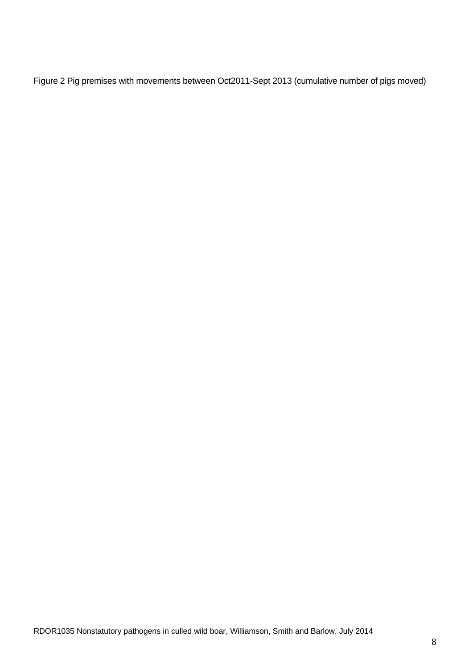Figure 2 Pig premises with movements between Oct2011-Sept 2013 (cumulative number of pigs moved)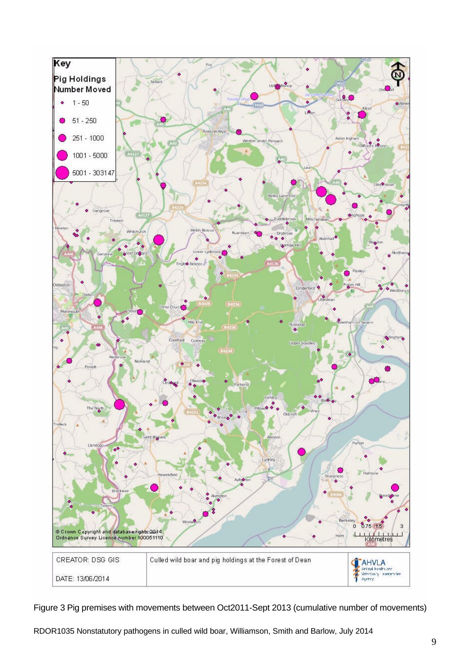

Figure 3 Pig premises with movements between Oct2011-Sept 2013 (cumulative number of movements)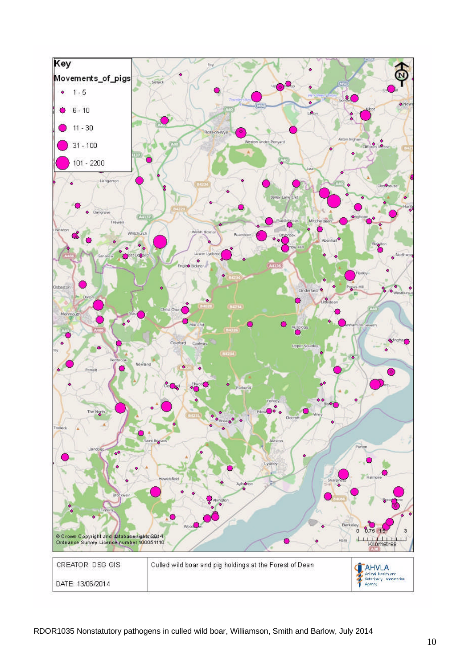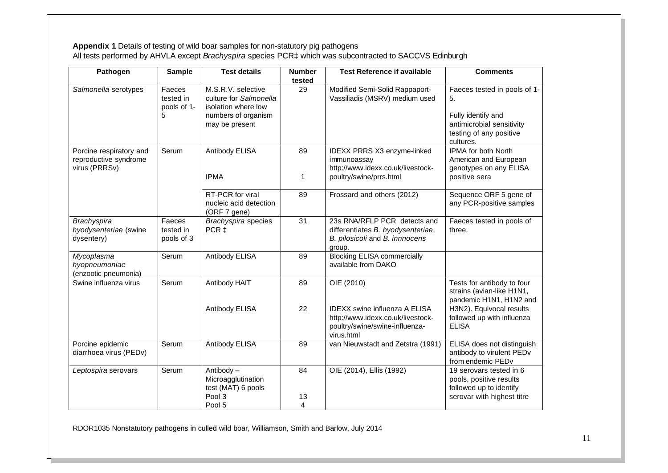#### **Appendix 1** Details of testing of wild boar samples for non-statutory pig pathogens All tests performed by AHVLA except *Brachyspira* species PCR‡ which was subcontracted to SACCVS Edinburgh

| Pathogen                                                          | <b>Sample</b>                           | <b>Test details</b>                                                                                          | <b>Number</b><br>tested | <b>Test Reference if available</b>                                                                                        | <b>Comments</b>                                                                                                               |
|-------------------------------------------------------------------|-----------------------------------------|--------------------------------------------------------------------------------------------------------------|-------------------------|---------------------------------------------------------------------------------------------------------------------------|-------------------------------------------------------------------------------------------------------------------------------|
| Salmonella serotypes                                              | Faeces<br>tested in<br>pools of 1-<br>5 | M.S.R.V. selective<br>culture for Salmonella<br>isolation where low<br>numbers of organism<br>may be present | 29                      | Modified Semi-Solid Rappaport-<br>Vassiliadis (MSRV) medium used                                                          | Faeces tested in pools of 1-<br>5.<br>Fully identify and<br>antimicrobial sensitivity<br>testing of any positive<br>cultures. |
| Porcine respiratory and<br>reproductive syndrome<br>virus (PRRSv) | Serum                                   | Antibody ELISA<br><b>IPMA</b>                                                                                | 89<br>1                 | IDEXX PRRS X3 enzyme-linked<br>immunoassay<br>http://www.idexx.co.uk/livestock-<br>poultry/swine/prrs.html                | <b>IPMA for both North</b><br>American and European<br>genotypes on any ELISA<br>positive sera                                |
|                                                                   |                                         | RT-PCR for viral<br>nucleic acid detection<br>(ORF 7 gene)                                                   | 89                      | Frossard and others (2012)                                                                                                | Sequence ORF 5 gene of<br>any PCR-positive samples                                                                            |
| <b>Brachyspira</b><br>hyodysenteriae (swine<br>dysentery)         | Faeces<br>tested in<br>pools of 3       | Brachyspira species<br>PCR <sub>‡</sub>                                                                      | 31                      | 23s RNA/RFLP PCR detects and<br>differentiates B. hyodysenteriae,<br>B. pilosicoli and B. innnocens<br>group.             | Faeces tested in pools of<br>three.                                                                                           |
| Mycoplasma<br>hyopneumoniae<br>(enzootic pneumonia)               | Serum                                   | Antibody ELISA                                                                                               | 89                      | <b>Blocking ELISA commercially</b><br>available from DAKO                                                                 |                                                                                                                               |
| Swine influenza virus                                             | Serum                                   | Antibody HAIT                                                                                                | 89                      | OIE (2010)                                                                                                                | Tests for antibody to four<br>strains (avian-like H1N1,<br>pandemic H1N1, H1N2 and                                            |
|                                                                   |                                         | Antibody ELISA                                                                                               | 22                      | <b>IDEXX swine influenza A ELISA</b><br>http://www.idexx.co.uk/livestock-<br>poultry/swine/swine-influenza-<br>virus.html | H3N2). Equivocal results<br>followed up with influenza<br><b>ELISA</b>                                                        |
| Porcine epidemic<br>diarrhoea virus (PEDv)                        | Serum                                   | Antibody ELISA                                                                                               | 89                      | van Nieuwstadt and Zetstra (1991)                                                                                         | ELISA does not distinguish<br>antibody to virulent PEDv<br>from endemic PEDv                                                  |
| Leptospira serovars                                               | Serum                                   | Antibody-<br>Microagglutination<br>test (MAT) 6 pools                                                        | 84                      | OIE (2014), Ellis (1992)                                                                                                  | 19 serovars tested in 6<br>pools, positive results<br>followed up to identify                                                 |
|                                                                   |                                         | Pool 3<br>Pool 5                                                                                             | 13<br>4                 |                                                                                                                           | serovar with highest titre                                                                                                    |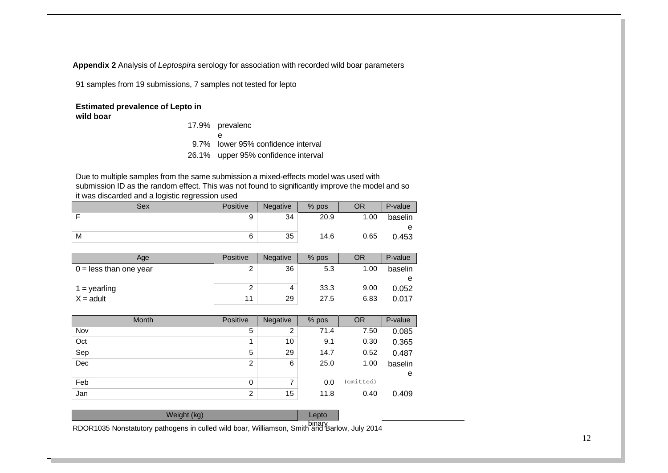**Appendix 2** Analysis of *Leptospira* serology for association with recorded wild boar parameters

91 samples from 19 submissions, 7 samples not tested for lepto

#### **Estimated prevalence of Lepto in wild boar**

| 17.9% prevalenc                     |
|-------------------------------------|
| e                                   |
| 9.7% lower 95% confidence interval  |
| 26.1% upper 95% confidence interval |

Due to multiple samples from the same submission a mixed-effects model was used with submission ID as the random effect. This was not found to significantly improve the model and so it was discarded and a logistic regression used

| Sex | <b>Positive</b> | Negative | $%$ pos | OR   | P-value |
|-----|-----------------|----------|---------|------|---------|
|     |                 | 34       | 20.9    | 1.00 | baselin |
|     |                 |          |         |      | e       |
| M   |                 | 35       | 14.6    | 0.65 | 0.453   |

| Age                      | Positive | <b>Negative</b> | $%$ pos | OR   | P-value |
|--------------------------|----------|-----------------|---------|------|---------|
| $0 =$ less than one year | ⌒        | 36              | 5.3     | 1.00 | baselin |
|                          |          |                 |         |      | e       |
| $1 =$ yearling           |          | 4               | 33.3    | 9.00 | 0.052   |
| $X =$ adult              |          | 29              | 27.5    | 6.83 | 0.017   |

| Positive       | <b>Negative</b> | $%$ pos | <b>OR</b> | P-value |
|----------------|-----------------|---------|-----------|---------|
| 5              | 2               | 71.4    | 7.50      | 0.085   |
| 4              | 10              | 9.1     | 0.30      | 0.365   |
| 5              | 29              | 14.7    | 0.52      | 0.487   |
| 2              | 6               | 25.0    | 1.00      | baselin |
|                |                 |         |           | e       |
| 0              | 7               | 0.0     | (omitted) |         |
| $\overline{2}$ | 15              | 11.8    | 0.40      | 0.409   |
|                |                 |         |           |         |

Weight (kg) **Lepto**